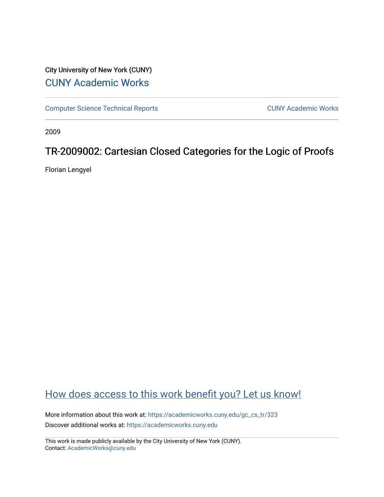# City University of New York (CUNY) [CUNY Academic Works](https://academicworks.cuny.edu/)

[Computer Science Technical Reports](https://academicworks.cuny.edu/gc_cs_tr) **CUNY Academic Works** CUNY Academic Works

2009

# TR-2009002: Cartesian Closed Categories for the Logic of Proofs

Florian Lengyel

# [How does access to this work benefit you? Let us know!](http://ols.cuny.edu/academicworks/?ref=https://academicworks.cuny.edu/gc_cs_tr/323)

More information about this work at: [https://academicworks.cuny.edu/gc\\_cs\\_tr/323](https://academicworks.cuny.edu/gc_cs_tr/323)  Discover additional works at: [https://academicworks.cuny.edu](https://academicworks.cuny.edu/?)

This work is made publicly available by the City University of New York (CUNY). Contact: [AcademicWorks@cuny.edu](mailto:AcademicWorks@cuny.edu)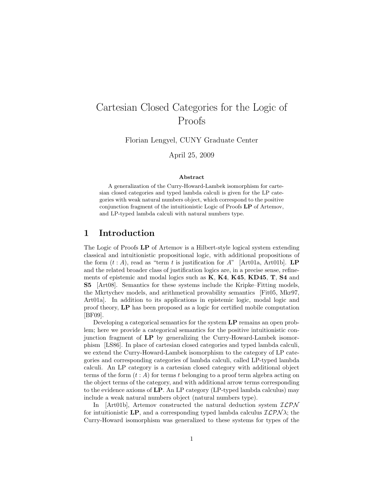# Cartesian Closed Categories for the Logic of Proofs

Florian Lengyel, CUNY Graduate Center

April 25, 2009

#### Abstract

A generalization of the Curry-Howard-Lambek isomorphism for cartesian closed categories and typed lambda calculi is given for the LP categories with weak natural numbers object, which correspond to the positive conjunction fragment of the intuitionistic Logic of Proofs LP of Artemov, and LP-typed lambda calculi with natural numbers type.

# 1 Introduction

The Logic of Proofs LP of Artemov is a Hilbert-style logical system extending classical and intuitionistic propositional logic, with additional propositions of the form  $(t : A)$ , read as "term t is justification for  $A$ " [Art01a, Art01b]. **LP** and the related broader class of justification logics are, in a precise sense, refinements of epistemic and modal logics such as  $K$ ,  $K4$ ,  $K45$ ,  $KD45$ ,  $T$ ,  $S4$  and S5 [Art08]. Semantics for these systems include the Kripke–Fitting models, the Mkrtychev models, and arithmetical provability semantics [Fit05, Mkr97, Art01a]. In addition to its applications in epistemic logic, modal logic and proof theory, LP has been proposed as a logic for certified mobile computation [BF09].

Developing a categorical semantics for the system LP remains an open problem; here we provide a categorical semantics for the positive intuitionistic conjunction fragment of LP by generalizing the Curry-Howard-Lambek isomorphism [LS86]. In place of cartesian closed categories and typed lambda calculi, we extend the Curry-Howard-Lambek isomorphism to the category of LP categories and corresponding categories of lambda calculi, called LP-typed lambda calculi. An LP category is a cartesian closed category with additional object terms of the form  $(t : A)$  for terms t belonging to a proof term algebra acting on the object terms of the category, and with additional arrow terms corresponding to the evidence axioms of LP. An LP category (LP-typed lambda calculus) may include a weak natural numbers object (natural numbers type).

In [Art01b], Artemov constructed the natural deduction system  $\mathcal{ILPN}$ for intuitionistic LP, and a corresponding typed lambda calculus  $\mathcal{ILPN}\lambda$ ; the Curry-Howard isomorphism was generalized to these systems for types of the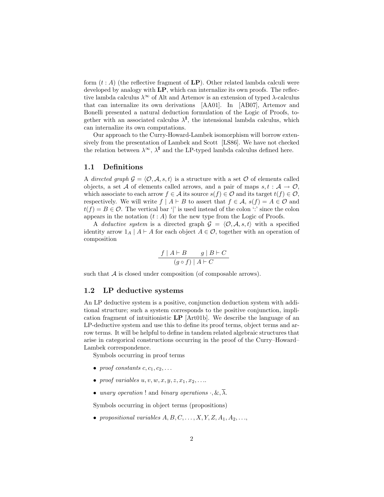form  $(t : A)$  (the reflective fragment of  $\mathbf{LP}$ ). Other related lambda calculi were developed by analogy with  $LP$ , which can internalize its own proofs. The reflective lambda calculus  $\lambda^{\infty}$  of Alt and Artemov is an extension of typed  $\lambda$ -calculus that can internalize its own derivations [AA01]. In [AB07], Artemov and Bonelli presented a natural deduction formulation of the Logic of Proofs, together with an associated calculus  $\lambda^I$ , the intensional lambda calculus, which can internalize its own computations.

Our approach to the Curry-Howard-Lambek isomorphism will borrow extensively from the presentation of Lambek and Scott [LS86]. We have not checked the relation between  $\lambda^{\infty}$ ,  $\lambda^{I}$  and the LP-typed lambda calculus defined here.

### 1.1 Definitions

A directed graph  $\mathcal{G} = \langle \mathcal{O}, \mathcal{A}, s, t \rangle$  is a structure with a set  $\mathcal O$  of elements called objects, a set A of elements called arrows, and a pair of maps  $s, t : A \to \mathcal{O}$ , which associate to each arrow  $f \in \mathcal{A}$  its source  $s(f) \in \mathcal{O}$  and its target  $t(f) \in \mathcal{O}$ , respectively. We will write  $f | A \vdash B$  to assert that  $f \in A$ ,  $s(f) = A \in \mathcal{O}$  and  $t(f) = B \in \mathcal{O}$ . The vertical bar '|' is used instead of the colon ':' since the colon appears in the notation  $(t : A)$  for the new type from the Logic of Proofs.

A deductive system is a directed graph  $G = \langle O, A, s, t \rangle$  with a specified identity arrow  $1_A | A \vdash A$  for each object  $A \in \mathcal{O}$ , together with an operation of composition

$$
\frac{f \mid A \vdash B \qquad g \mid B \vdash C}{(g \circ f) \mid A \vdash C}
$$

such that  $A$  is closed under composition (of composable arrows).

#### 1.2 LP deductive systems

An LP deductive system is a positive, conjunction deduction system with additional structure; such a system corresponds to the positive conjunction, implication fragment of intuitionistic LP [Art01b]. We describe the language of an LP-deductive system and use this to define its proof terms, object terms and arrow terms. It will be helpful to define in tandem related algebraic structures that arise in categorical constructions occurring in the proof of the Curry–Howard– Lambek correspondence.

Symbols occurring in proof terms

- proof constants  $c, c_1, c_2, \ldots$
- proof variables  $u, v, w, x, y, z, x_1, x_2, \ldots$
- unary operation ! and binary operations  $\cdot$ ,  $\&$ ,  $\overline{\lambda}$ .

Symbols occurring in object terms (propositions)

• propositional variables  $A, B, C, \ldots, X, Y, Z, A_1, A_2, \ldots$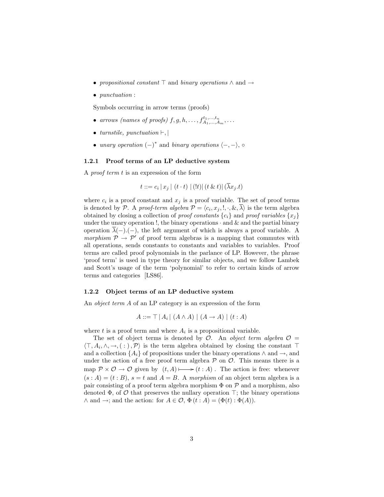- propositional constant  $\top$  and binary operations  $\land$  and  $\rightarrow$
- *punctuation* :

Symbols occurring in arrow terms (proofs)

- arrows (names of proofs)  $f, g, h, \ldots, f_{A_1, \ldots, A_m}^{t_1, \ldots, t_n}, \ldots$
- turnstile, punctuation  $\vdash$ ,
- unary operation  $(-)^*$  and binary operations  $\langle -, \rangle$ ,  $\circ$

#### 1.2.1 Proof terms of an LP deductive system

A proof term t is an expression of the form

$$
t ::= c_i |x_j | (t \cdot t) | (t) | (t \& t) | (\lambda x_j \cdot t)
$$

where  $c_i$  is a proof constant and  $x_j$  is a proof variable. The set of proof terms is denoted by P. A proof-term algebra  $\mathcal{P} = \langle c_i, x_j, \cdot, \cdot, \&, \overline{\lambda} \rangle$  is the term algebra obtained by closing a collection of *proof constants*  $\{c_i\}$  and *proof variables*  $\{x_i\}$ under the unary operation !, the binary operations  $\cdot$  and  $\&$  and the partial binary operation  $\overline{\lambda}(-)$ .(-), the left argument of which is always a proof variable. A morphism  $P \rightarrow P'$  of proof term algebras is a mapping that commutes with all operations, sends constants to constants and variables to variables. Proof terms are called proof polynomials in the parlance of LP. However, the phrase 'proof term' is used in type theory for similar objects, and we follow Lambek and Scott's usage of the term 'polynomial' to refer to certain kinds of arrow terms and categories [LS86].

#### 1.2.2 Object terms of an LP deductive system

An object term A of an LP category is an expression of the form

$$
A ::= \top | A_i | (A \wedge A) | (A \rightarrow A) | (t : A)
$$

where  $t$  is a proof term and where  $A_i$  is a propositional variable.

The set of object terms is denoted by  $\mathcal{O}$ . An object term algebra  $\mathcal{O}$  =  $\langle \top, A_i, \wedge, \to, ( : ), \mathcal{P} \rangle$  is the term algebra obtained by closing the constant  $\top$ and a collection  $\{A_i\}$  of propositions under the binary operations  $\wedge$  and  $\rightarrow$ , and under the action of a free proof term algebra  $P$  on  $O$ . This means there is a map  $\mathcal{P} \times \mathcal{O} \to \mathcal{O}$  given by  $(t, A) \longmapsto (t : A)$ . The action is free: whenever  $(s : A) = (t : B)$ ,  $s = t$  and  $A = B$ . A morphism of an object term algebra is a pair consisting of a proof term algebra morphism  $\Phi$  on  $\mathcal P$  and a morphism, also denoted  $\Phi$ , of  $\mathcal O$  that preserves the nullary operation  $\top$ ; the binary operations  $\wedge$  and  $\rightarrow$ ; and the action: for  $A \in \mathcal{O}, \Phi(t : A) = (\Phi(t) : \Phi(A)).$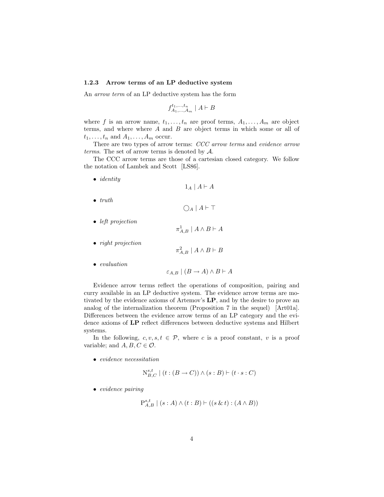#### 1.2.3 Arrow terms of an LP deductive system

An arrow term of an LP deductive system has the form

$$
f^{t_1,\ldots,t_n}_{A_1,\ldots,A_m} \mid A \vdash B
$$

where f is an arrow name,  $t_1, \ldots, t_n$  are proof terms,  $A_1, \ldots, A_m$  are object terms, and where where  $A$  and  $B$  are object terms in which some or all of  $t_1, \ldots, t_n$  and  $A_1, \ldots, A_m$  occur.

There are two types of arrow terms: CCC arrow terms and evidence arrow terms. The set of arrow terms is denoted by  $A$ .

The CCC arrow terms are those of a cartesian closed category. We follow the notation of Lambek and Scott [LS86].

• *identity* 

```
1_A | A \vdash A
```
 $\bigcirc_A | A \vdash \top$ 

- $\bullet$  truth
- left projection
- $\pi_{A,B}^1 \mid A \land B \vdash A$
- *right projection*

$$
\pi_{A,B}^2 \mid A \land B \vdash B
$$

• evaluation

$$
\varepsilon_{A,B} \mid (B \to A) \land B \vdash A
$$

Evidence arrow terms reflect the operations of composition, pairing and curry available in an LP deductive system. The evidence arrow terms are motivated by the evidence axioms of Artemov's LP, and by the desire to prove an analog of the internalization theorem (Proposition 7 in the sequel) [Art01a]. Differences between the evidence arrow terms of an LP category and the evidence axioms of LP reflect differences between deductive systems and Hilbert systems.

In the following,  $c, v, s, t \in \mathcal{P}$ , where c is a proof constant, v is a proof variable; and  $A, B, C \in \mathcal{O}$ .

• evidence necessitation

$$
\mathcal{N}_{B,C}^{s,t} \mid (t:(B \to C)) \land (s:B) \vdash (t \cdot s : C)
$$

• evidence pairing

$$
\mathbf{P}_{A,B}^{s,t} \mid (s:A) \wedge (t:B) \vdash ((s \& t) : (A \wedge B))
$$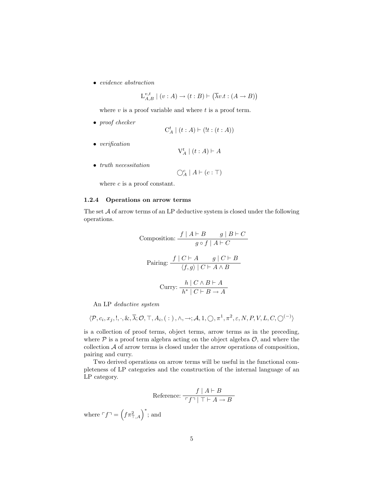• evidence abstraction

$$
\mathcal{L}_{A,B}^{v,t} \mid (v:A) \to (t:B) \vdash (\overline{\lambda}v.t:(A \to B))
$$

where  $v$  is a proof variable and where  $t$  is a proof term.

• proof checker

$$
\mathrm{C}^t_A \mid (t:A) \vdash (!t:(t:A))
$$

• verification

$$
\mathrm{V}^t_A \mid (t:A) \vdash A
$$

• truth necessitation

$$
\bigcirc_A^c \mid A \vdash (c : \top)
$$

where  $c$  is a proof constant.

### 1.2.4 Operations on arrow terms

The set A of arrow terms of an LP deductive system is closed under the following operations.

Composition: 
$$
\frac{f | A \vdash B \qquad g | B \vdash C}{g \circ f | A \vdash C}
$$

\nPairing: 
$$
\frac{f | C \vdash A \qquad g | C \vdash B}{\langle f, g \rangle | C \vdash A \land B}
$$

\nCurry: 
$$
\frac{h | C \land B \vdash A}{h^* | C \vdash B \to A}
$$

An LP deductive system

$$
\langle \mathcal{P}, c_i, x_j, \cdot, \cdot, \&, \overline{\lambda}; \mathcal{O}, \top, A_i, (\; : \;), \wedge, \rightarrow; \mathcal{A}, 1, \bigcirc, \pi^1, \pi^2, \varepsilon, N, P, V, L, C, \bigcirc^{(-)} \rangle
$$

is a collection of proof terms, object terms, arrow terms as in the preceding, where  $P$  is a proof term algebra acting on the object algebra  $O$ , and where the collection  $A$  of arrow terms is closed under the arrow operations of composition, pairing and curry.

Two derived operations on arrow terms will be useful in the functional completeness of LP categories and the construction of the internal language of an LP category.

Reference: 
$$
\frac{f | A \vdash B}{\ulcorner f \urcorner | \urcorner \vdash A \rightarrow B \urcorner}
$$

where  $\ulcorner f \urcorner = \left(f \pi^2_{\top, A}\right)^*$ ; and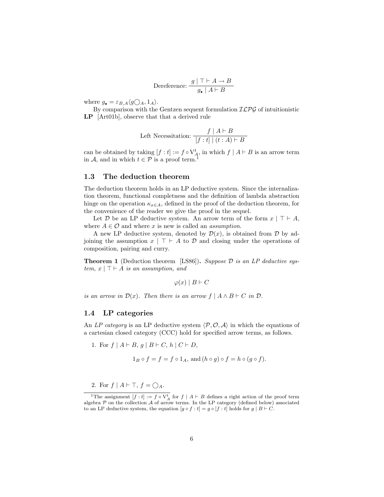$$
D
$$
 **Therefore:** 
$$
\frac{g \mid \top \vdash A \to B}{g_{\bullet} \mid A \vdash B}
$$

where  $g_{\bullet} = \varepsilon_{B,A} \langle g \bigcirc_A, 1_A \rangle$ .

By comparison with the Gentzen sequent formulation  $ILPG$  of intuitionistic LP [Art01b], observe that that a derived rule

Left Necessitation: 
$$
\frac{f | A \vdash B}{| f : t | (t : A) \vdash B}
$$

can be obtained by taking  $[f : t] := f \circ \mathcal{V}_A^t$ , in which  $f | A \vdash B$  is an arrow term in A, and in which  $t \in \mathcal{P}$  is a proof term.<sup>1</sup>

## 1.3 The deduction theorem

The deduction theorem holds in an LP deductive system. Since the internalization theorem, functional completness and the definition of lambda abstraction hinge on the operation  $\kappa_{x\in A}$ , defined in the proof of the deduction theorem, for the convenience of the reader we give the proof in the sequel.

Let D be an LP deductive system. An arrow term of the form  $x \mid \top \vdash A$ , where  $A \in \mathcal{O}$  and where x is new is called an *assumption*.

A new LP deductive system, denoted by  $\mathcal{D}(x)$ , is obtained from  $\mathcal D$  by adjoining the assumption  $x \mid \top \vdash A$  to  $D$  and closing under the operations of composition, pairing and curry.

**Theorem 1** (Deduction theorem [LS86]). Suppose  $D$  is an LP deductive system,  $x \mid \top \vdash A$  is an assumption, and

$$
\varphi(x) \mid B \vdash C
$$

is an arrow in  $\mathcal{D}(x)$ . Then there is an arrow  $f \mid A \wedge B \vdash C$  in  $D$ .

#### 1.4 LP categories

An LP category is an LP deductive system  $\langle \mathcal{P}, \mathcal{O}, \mathcal{A} \rangle$  in which the equations of a cartesian closed category (CCC) hold for specified arrow terms, as follows.

1. For  $f | A \vdash B, g | B \vdash C, h | C \vdash D$ ,

$$
1_B \circ f = f = f \circ 1_A, \text{ and } (h \circ g) \circ f = h \circ (g \circ f).
$$

2. For  $f \mid A \vdash \top, f = \bigcirc_{A}$ .

<sup>&</sup>lt;sup>1</sup>The assignment  $[f : t] := f \circ V_A^t$  for  $f | A \vdash B$  defines a right action of the proof term algebra  $\mathcal P$  on the collection  $\mathcal A$  of arrow terms. In the LP category (defined below) associated to an LP deductive system, the equation  $[g \circ f : t] = g \circ [f : t]$  holds for  $g \mid B \vdash C$ .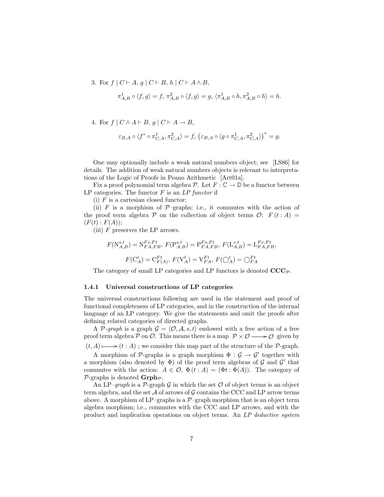3. For  $f \mid C \vdash A, g \mid C \vdash B, h \mid C \vdash A \land B$ ,

$$
\pi_{A,B}^1\circ\langle f,g\rangle=f,\,\pi_{A,B}^2\circ\langle f,g\rangle=g,\,\langle\pi_{A,B}^1\circ h,\pi_{A,B}^2\circ h\rangle=h.
$$

4. For  $f \mid C \wedge A \vdash B, g \mid C \vdash A \rightarrow B$ ,

$$
\varepsilon_{B,A}\circ \langle f^*\circ \pi^1_{C,A}, \pi^2_{C,A}\rangle = f,\ \big(\varepsilon_{B,A}\circ \langle g\circ \pi^1_{C,A}, \pi^2_{C,A}\rangle\big)^* = g.
$$

One may optionally include a weak natural numbers object; see [LS86] for details. The addition of weak natural numbers objects is relevant to interpretations of the Logic of Proofs in Peano Arithmetic [Art01a].

Fix a proof polynomial term algebra P. Let  $F: \mathbb{C} \to \mathbb{D}$  be a functor between LP categories. The functor  $F$  is an  $LP$  functor if

(i)  $F$  is a cartesian closed functor;

(ii) F is a morphism of  $\mathcal{P}$ -graphs; i.e., it commutes with the action of the proof term algebra  $\mathcal P$  on the collection of object terms  $\mathcal O: F(t:A) =$  $(F(t): F(A))$ ;

(iii) F preserves the LP arrows.

$$
F(N_{A,B}^{s,t}) = N_{FA,FB}^{Fs, Ft}, F(P_{A,B}^{s,t}) = P_{FA,FB}^{Fs, Ft}, F(L_{A,B}^{v,t}) = L_{FA,FB}^{Fv, Ft},
$$

$$
F(C_A^t) = C_{F(A)}^{Ft}, F(V_A^t) = V_{FA}^{Ft}, F(\bigcirc_A^t) = \bigcirc_{FA}^{Ft}
$$

The category of small LP categories and LP functors is denoted  $\mathbf{CCC}_{\mathcal{P}}$ .

#### 1.4.1 Universal constructions of LP categories

The universal constructions following are used in the statement and proof of functional completeness of LP categories, and in the construction of the internal language of an LP category. We give the statements and omit the proofs after defining related categories of directed graphs.

A P-graph is a graph  $\mathcal{G} = \langle \mathcal{O}, \mathcal{A}, s, t \rangle$  endowed with a free action of a free proof term algebra  $P$  on  $O$ . This means there is a map  $P \times O \longrightarrow O$  given by

 $(t, A) \longmapsto (t : A)$ ; we consider this map part of the structure of the  $P$ -graph.

A morphism of  $\mathcal{P}$ -graphs is a graph morphism  $\Phi : \mathcal{G} \to \mathcal{G}'$  together with a morphism (also denoted by  $\Phi$ ) of the proof term algebras of  $\mathcal G$  and  $\mathcal G'$  that commutes with the action:  $A \in \mathcal{O}, \Phi(t:A) = (\Phi t : \Phi(A)).$  The category of  $\mathcal{P}$ -graphs is denoted  $\mathbf{Grph}_{\mathcal{P}}$ .

An LP–graph is a  $\mathcal{P}$ -graph  $\mathcal G$  in which the set  $\mathcal O$  of object terms is an object term algebra, and the set  $\mathcal A$  of arrows of  $\mathcal G$  contains the CCC and LP arrow terms above. A morphism of LP–graphs is a  $\mathcal{P}$ –graph morphism that is an object term algebra morphism; i.e., commutes with the CCC and LP arrows, and with the product and implication operations on object terms. An LP deductive system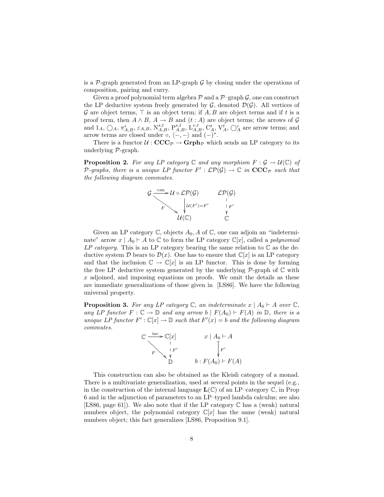is a  $\mathcal{P}$ -graph generated from an LP-graph  $\mathcal G$  by closing under the operations of composition, pairing and curry.

Given a proof polynomial term algebra  $\mathcal P$  and a  $\mathcal P$ –graph  $\mathcal G$ , one can construct the LP deductive system freely generated by  $\mathcal{G}$ , denoted  $\mathcal{D}(\mathcal{G})$ . All vertices of G are object terms,  $\top$  is an object term; if A, B are object terms and if t is a proof term, then  $A \wedge B$ ,  $A \rightarrow B$  and  $(t : A)$  are object terms; the arrows of  $G$ and  $1_A$ ,  $\bigcirc_A$ ,  $\pi^i_{A,B}$ ,  $\varepsilon_{A,B}$ ,  $N^{s,t}_{A,B}$ ,  $P^{s,t}_{A,B}$ ,  $L^{v,t}_{A,B}$ ,  $C^t_A$ ,  $V^t_A$ ,  $\bigcirc_A^c$  are arrow terms; and arrow terms are closed under  $\circ$ ,  $\langle -,- \rangle$  and  $(-)^*$ .

There is a functor  $\mathcal{U} : \mathbf{CCC}_{\mathcal{P}} \to \mathbf{Grph}_{\mathcal{P}}$  which sends an LP category to its underlying P-graph.

**Proposition 2.** For any LP category  $\mathbb C$  and any morphism  $F : \mathcal G \to \mathcal U(\mathbb C)$  of P-graphs, there is a unique LP functor  $F': \mathcal{LP}(\mathcal{G}) \to \mathbb{C}$  in  $\mathbf{CCC}_{\mathcal{P}}$  such that the following diagram commutes.



Given an LP category  $\mathbb{C}$ , objects  $A_0$ , A of  $\mathbb{C}$ , one can adjoin an "indeterminate" arrow  $x \mid A_0 \vdash A$  to  $\mathbb C$  to form the LP category  $\mathbb C[x]$ , called a *polynomial* LP category. This is an LP category bearing the same relation to  $\mathbb C$  as the deductive system D bears to  $\mathcal{D}(x)$ . One has to ensure that  $\mathbb{C}[x]$  is an LP category and that the inclusion  $\mathbb{C} \to \mathbb{C}[x]$  is an LP functor. This is done by forming the free LP deductive system generated by the underlying  $\mathcal{P}\text{-graph}$  of  $\mathbb C$  with x adjoined, and imposing equations on proofs. We omit the details as these are immediate generalizations of those given in [LS86]. We have the following universal property.

**Proposition 3.** For any LP category  $\mathbb{C}$ , an indeterminate  $x \mid A_0 \vdash A$  over  $\mathbb{C}$ , any LP functor  $F: \mathbb{C} \to \mathbb{D}$  and any arrow  $b \mid F(A_0) \vdash F(A)$  in  $\mathbb{D}$ , there is a unique LP functor  $F': \mathbb{C}[x] \to \mathbb{D}$  such that  $F'(x) = b$  and the following diagram commutes.



This construction can also be obtained as the Kleisli category of a monad. There is a multivariate generalization, used at several points in the sequel (e.g., in the construction of the internal language  $\mathbf{L}(\mathbb{C})$  of an LP–category  $\mathbb{C}$ , in Prop 6 and in the adjunction of parameters to an LP–typed lambda calculus; see also [LS86, page 61]). We also note that if the LP category  $\mathbb C$  has a (weak) natural numbers object, the polynomial category  $\mathbb{C}[x]$  has the same (weak) natural numbers object; this fact generalizes [LS86, Proposition 9.1].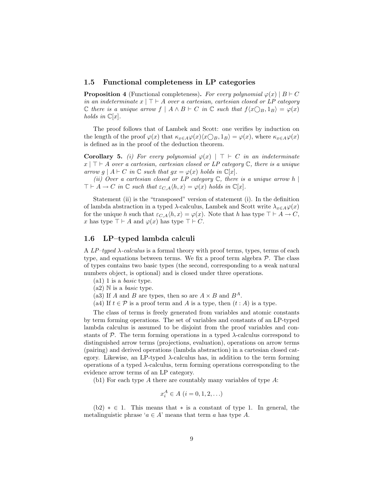#### 1.5 Functional completeness in LP categories

**Proposition 4** (Functional completeness). For every polynomial  $\varphi(x) | B \vdash C$ in an indeterminate  $x \mid \top \vdash A$  over a cartesian, cartesian closed or LP category  $\mathbb C$  there is a unique arrow  $f \mid A \wedge B \vdash C$  in  $\mathbb C$  such that  $f\langle x \bigcirc_B, 1_B \rangle = \varphi(x)$ holds in  $\mathbb{C}[x]$ .

The proof follows that of Lambek and Scott: one verifies by induction on the length of the proof  $\varphi(x)$  that  $\kappa_{x \in A} \varphi(x) \langle x \bigcirc_B, 1_B \rangle = \varphi(x)$ , where  $\kappa_{x \in A} \varphi(x)$ is defined as in the proof of the deduction theorem.

Corollary 5. (i) For every polynomial  $\varphi(x)$  |  $\top$  + C in an indeterminate  $x \mid \top \vdash A$  over a cartesian, cartesian closed or LP category  $\mathbb{C}$ , there is a unique arrow  $g \mid A \vdash C$  in  $\mathbb C$  such that  $gx = \varphi(x)$  holds in  $\mathbb C[x]$ .

(ii) Over a cartesian closed or LP category  $\mathbb C$ , there is a unique arrow h |  $\top \vdash A \to C$  in  $\mathbb C$  such that  $\varepsilon_{C,A} \langle h, x \rangle = \varphi(x)$  holds in  $\mathbb C[x]$ .

Statement (ii) is the "transposed" version of statement (i). In the definition of lambda abstraction in a typed  $\lambda$ -calculus, Lambek and Scott write  $\lambda_{x \in A} \varphi(x)$ for the unique h such that  $\varepsilon_{C,A} \langle h, x \rangle = \varphi(x)$ . Note that h has type  $\top \vdash A \to C$ , x has type  $\top \vdash A$  and  $\varphi(x)$  has type  $\top \vdash C$ .

### 1.6 LP–typed lambda calculi

A  $LP$ -typed  $\lambda$ -calculus is a formal theory with proof terms, types, terms of each type, and equations between terms. We fix a proof term algebra  $P$ . The class of types contains two basic types (the second, corresponding to a weak natural numbers object, is optional) and is closed under three operations.

- $(a1)$  1 is a *basic* type.
- $(a2)$  N is a *basic* type.
- (a3) If A and B are types, then so are  $A \times B$  and  $B^A$ .
- (a4) If  $t \in \mathcal{P}$  is a proof term and A is a type, then  $(t : A)$  is a type.

The class of terms is freely generated from variables and atomic constants by term forming operations. The set of variables and constants of an LP-typed lambda calculus is assumed to be disjoint from the proof variables and constants of  $P$ . The term forming operations in a typed  $\lambda$ -calculus correspond to distinguished arrow terms (projections, evaluation), operations on arrow terms (pairing) and derived operations (lambda abstraction) in a cartesian closed category. Likewise, an LP-typed  $\lambda$ -calculus has, in addition to the term forming operations of a typed  $\lambda$ -calculus, term forming operations corresponding to the evidence arrow terms of an LP category.

(b1) For each type A there are countably many variables of type A:

$$
x_i^A \in A \ (i = 0, 1, 2, \ldots)
$$

 $(b2) * \in 1$ . This means that \* is a constant of type 1. In general, the metalinguistic phrase ' $a \in A$ ' means that term a has type A.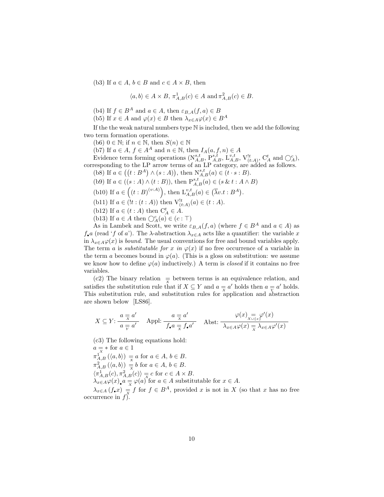(b3) If  $a \in A$ ,  $b \in B$  and  $c \in A \times B$ , then

$$
\langle a, b \rangle \in A \times B
$$
,  $\pi_{A,B}^1(c) \in A$  and  $\pi_{A,B}^2(c) \in B$ .

(b4) If  $f \in B^A$  and  $a \in A$ , then  $\varepsilon_{B,A}(f,a) \in B$ 

(b5) If  $x \in A$  and  $\varphi(x) \in B$  then  $\lambda_{x \in A} \varphi(x) \in B^A$ 

If the the weak natural numbers type N is included, then we add the following two term formation operations.

(b6)  $0 \in \mathbb{N}$ ; if  $n \in \mathbb{N}$ , then  $S(n) \in \mathbb{N}$ 

(b7) If  $a \in A$ ,  $f \in A^A$  and  $n \in \mathbb{N}$ , then  $I_A(a, f, n) \in A$ 

Evidence term forming operations  $(N_{A,B}^{s,t}, P_{A,B}^{s,t}, L_{A,B}^{v,t}, V_{(t:A)}^{t}, C_A^t$  and  $\bigcirc_A^c$ ), corresponding to the LP arrow terms of an LP category, are added as follows.

(b8) If  $a \in ((t : B^A) \wedge (s : A)),$  then  $N_{A,B}^{s,t}(a) \in (t \cdot s : B)$ .

(b9) If 
$$
a \in ((s : A) \land (t : B))
$$
, then  $P_{A,B}^{s,t}(a) \in (s \& t : A \land B)$ 

- (b10) If  $a \in ((t : B)^{(v:A)})$ , then  $L_{A,B}^{v,t}(a) \in (\overline{\lambda}v.t : B^A)$ .
- (b11) If  $a \in (!t : (t : A))$  then  $V_{(t:A)}^{!t}(a) \in (t : A)$ .
- (b12) If  $a \in (t : A)$  then  $C_A^t \in A$ .
- (b13) If  $a \in A$  then  $\bigcirc_A^c(a) \in (c : \top)$

As in Lambek and Scott, we write  $\varepsilon_{B,A}(f,a)$  (where  $f \in B^A$  and  $a \in A$ ) as  $f_{\bullet}a$  (read 'f of a'). The  $\lambda$ -abstraction  $\lambda_{x\in A}$  acts like a quantifier: the variable x in  $\lambda_{x\in A}\varphi(x)$  is *bound*. The usual conventions for free and bound variables apply. The term a is *substitutable for x in*  $\varphi(x)$  if no free occurrence of a variable in the term a becomes bound in  $\varphi(a)$ . (This is a gloss on substitution: we assume we know how to define  $\varphi(a)$  inductively.) A term is *closed* if it contains no free variables.

(c2) The binary relation  $\frac{1}{x}$  between terms is an equivalence relation, and satisfies the substitution rule that if  $X \subseteq Y$  and  $a = a'$  holds then  $a = a'$  holds. This substitution rule, and substitution rules for application and abstraction are shown below [LS86].

$$
X \subseteq Y: \frac{a}{a} = a' \qquad \text{Appl: } \frac{a}{f_{\bullet} a} = a' \qquad \text{Abst: } \frac{\varphi(x)}{\lambda_{x \in A} \varphi(x)} = \lambda_{x \in A} \frac{\varphi(x)}{\lambda_{x \in A} \varphi(x)}.
$$

(c3) The following equations hold:

 $a = *$  for  $a \in 1$  $\pi_{A,B}^{X}(\langle a,b\rangle) \equiv a$  for  $a \in A, b \in B$ .  $\pi_{A,B}^2(\langle a,b\rangle) \equiv b$  for  $a \in A, b \in B$ .  $\langle \pi_{A,B}^1(c), \pi_{A,B}^2(c) \rangle = c$  for  $c \in A \times B$ .  $\lambda_{x\in A}\varphi(x)$ ,  $a = \varphi(a)$  for  $a \in A$  substitutable for  $x \in A$ .

 $\lambda_{x\in A}$   $(f_{\bullet}x)$   $\frac{x}{x}$  f for  $f \in B^A$ , provided x is not in X (so that x has no free occurrence in  $f$ ).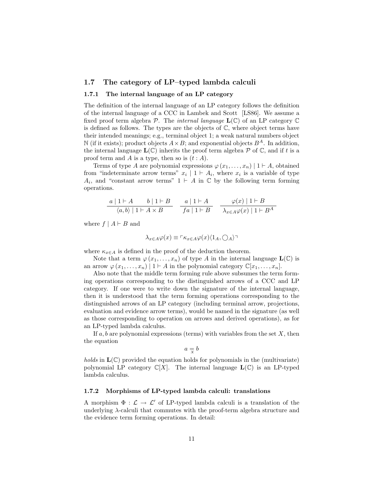#### 1.7 The category of LP–typed lambda calculi

#### 1.7.1 The internal language of an LP category

The definition of the internal language of an LP category follows the definition of the internal language of a CCC in Lambek and Scott [LS86]. We assume a fixed proof term algebra P. The internal language  $\mathbf{L}(\mathbb{C})$  of an LP category  $\mathbb{C}$ is defined as follows. The types are the objects of  $\mathbb{C}$ , where object terms have their intended meanings; e.g., terminal object 1; a weak natural numbers object N (if it exists); product objects  $A \times B$ ; and exponential objects  $B^A$ . In addition, the internal language  $\mathbf{L}(\mathbb{C})$  inherits the proof term algebra  $\mathcal P$  of  $\mathbb C$ , and if t is a proof term and A is a type, then so is  $(t : A)$ .

Terms of type A are polynomial expressions  $\varphi(x_1, \ldots, x_n)$  | 1  $\vdash A$ , obtained from "indeterminate arrow terms"  $x_i \mid 1 \vdash A_i$ , where  $x_i$  is a variable of type  $A_i$ , and "constant arrow terms"  $1 \vdash A$  in  $\mathbb C$  by the following term forming operations.

$$
\begin{array}{c|c|c|c|c|c|c|c|c} a & 1 & \vdash A & b & 1 & \vdash B \\ \hline \langle a, b \rangle & 1 & \vdash A \times B & & f a & 1 & \vdash B \\ \end{array} \quad \begin{array}{c|c|c|c|c} a & 1 & \vdash A & & \varphi(x) & 1 & \vdash B \\ \hline \hline f a & 1 & \vdash B & & \lambda_{x \in A} \varphi(x) & 1 & \vdash B^A \end{array}
$$

where  $f | A \vdash B$  and

$$
\lambda_{x\in A}\varphi(x)\equiv\lceil \kappa_{x\in A}\varphi(x)\langle 1_A,\bigcirc_A\rangle\rceil
$$

where  $\kappa_{x\in A}$  is defined in the proof of the deduction theorem.

Note that a term  $\varphi(x_1,\ldots,x_n)$  of type A in the internal language  $\mathbf{L}(\mathbb{C})$  is an arrow  $\varphi(x_1,\ldots,x_n) \mid 1 \vdash A$  in the polynomial category  $\mathbb{C}[x_1,\ldots,x_n]$ .

Also note that the middle term forming rule above subsumes the term forming operations corresponding to the distinguished arrows of a CCC and LP category. If one were to write down the signature of the internal language, then it is understood that the term forming operations corresponding to the distinguished arrows of an LP category (including terminal arrow, projections, evaluation and evidence arrow terms), would be named in the signature (as well as those corresponding to operation on arrows and derived operations), as for an LP-typed lambda calculus.

If  $a, b$  are polynomial expressions (terms) with variables from the set  $X$ , then the equation

 $a \equiv b$ 

holds in  $\mathbf{L}(\mathbb{C})$  provided the equation holds for polynomials in the (multivariate) polynomial LP category  $\mathbb{C}[X]$ . The internal language  $\mathbf{L}(\mathbb{C})$  is an LP-typed lambda calculus.

#### 1.7.2 Morphisms of LP-typed lambda calculi: translations

A morphism  $\Phi : \mathcal{L} \to \mathcal{L}'$  of LP-typed lambda calculi is a translation of the underlying  $\lambda$ -calculi that commutes with the proof-term algebra structure and the evidence term forming operations. In detail: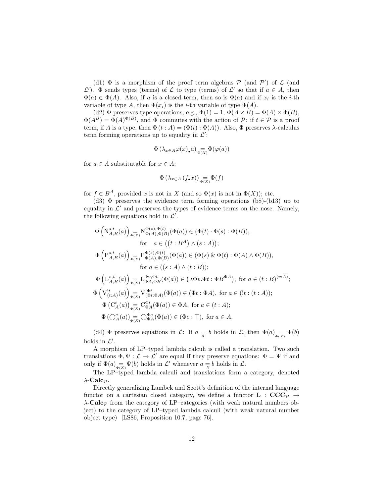(d1)  $\Phi$  is a morphism of the proof term algebras  $P$  (and  $P'$ ) of  $\mathcal L$  (and  $\mathcal{L}'$ ). Φ sends types (terms) of  $\mathcal{L}$  to type (terms) of  $\mathcal{L}'$  so that if  $a \in A$ , then  $\Phi(a) \in \Phi(A)$ . Also, if a is a closed term, then so is  $\Phi(a)$  and if  $x_i$  is the *i*-th variable of type A, then  $\Phi(x_i)$  is the *i*-th variable of type  $\Phi(A)$ .

(d2)  $\Phi$  preserves type operations; e.g.,  $\Phi(1) = 1$ ,  $\Phi(A \times B) = \Phi(A) \times \Phi(B)$ ,  $\Phi(A^B) = \Phi(A)^{\Phi(B)}$ , and  $\Phi$  commutes with the action of  $\mathcal{P}$ : if  $t \in \mathcal{P}$  is a proof term, if A is a type, then  $\Phi(t : A) = (\Phi(t) : \Phi(A))$ . Also,  $\Phi$  preserves  $\lambda$ -calculus term forming operations up to equality in  $\mathcal{L}'$ :

$$
\Phi\left(\lambda_{x\in A}\varphi(x)_{\bullet}a\right)\underset{\Phi(x)}{=}\Phi(\varphi(a))
$$

for  $a \in A$  substitutable for  $x \in A$ ;

$$
\Phi\left(\lambda_{x\in A}\left(f_{\bullet}x\right)\right)_{\Phi\left(X\right)}\Phi(f)
$$

for  $f \in B^A$ , provided x is not in X (and so  $\Phi(x)$  is not in  $\Phi(X)$ ); etc.

(d3)  $\Phi$  preserves the evidence term forming operations (b8)-(b13) up to equality in  $\mathcal{L}'$  and preserves the types of evidence terms on the nose. Namely, the following equations hold in  $\mathcal{L}'$ .

$$
\Phi\left(N_{A,B}^{s,t}(a)\right)_{\substack{a \in \mathbb{N} \\ \Phi(A),\Phi(B)}} N_{\Phi(A),\Phi(B)}^{\Phi(s),\Phi(t)}(\Phi(a)) \in (\Phi(t) \cdot \Phi(s) : \Phi(B)),
$$
\n
$$
\text{for } a \in \left(\left(t : B^A\right) \wedge (s : A)\right);
$$
\n
$$
\Phi\left(P_{A,B}^{s,t}(a)\right)_{\substack{a \in \mathbb{N} \\ \Phi(A),\Phi(B)}} P_{\Phi(A),\Phi(B)}^{\Phi(s),\Phi(t)}(\Phi(a)) \in (\Phi(s) \& \Phi(t) : \Phi(A) \wedge \Phi(B)),
$$
\n
$$
\text{for } a \in ((s : A) \wedge (t : B));
$$
\n
$$
\Phi\left(\mathcal{L}_{A,B}^{v,t}(a)\right)_{\substack{a \in \mathbb{N} \\ \Phi(A),\Phi(B)}} \mathcal{L}_{\Phi A,\Phi B}^{\Phi_{v,\Phi t}}(\Phi(a)) \in (\overline{\lambda}\Phi v.\Phi t : \Phi B^{\Phi A}), \text{ for } a \in (t : B)^{(v : A)};
$$
\n
$$
\Phi\left(V_{(t : A)}^{t,t}(a)\right)_{\substack{a \in \mathbb{N} \\ \Phi(\Phi(A))}} \mathcal{L}_{\Phi A, \Phi A}^{t\Phi}(b(a)) \in (\Phi t : \Phi A), \text{ for } a \in (t : A);
$$
\n
$$
\Phi\left(C_{A}^{t}(a)\right)_{\substack{a \in \mathbb{N} \\ \Phi(\Phi(A))}} \mathcal{L}_{\Phi A}^{\Phi_{c}}(\Phi(a)) \in (\Phi c : \top), \text{ for } a \in A.
$$

(d4)  $\Phi$  preserves equations in  $\mathcal{L}$ : If  $a \equiv b$  holds in  $\mathcal{L}$ , then  $\Phi(a)_{\Phi(X)} \Phi(b)$ holds in  $\mathcal{L}'$ .

A morphism of LP–typed lambda calculi is called a translation. Two such translations  $\Phi, \Psi: \mathcal{L} \to \mathcal{L}'$  are equal if they preserve equations:  $\Phi = \Psi$  if and only if  $\Phi(a)$ <sub> $\frac{1}{\Phi(X)}\Psi(b)$  holds in  $\mathcal{L}'$  whenever  $a \neq b$  holds in  $\mathcal{L}$ .</sub>

The LP–typed lambda calculi and translations form a category, denoted  $\lambda$ -Calc<sub>*P*</sub>.

Directly generalizing Lambek and Scott's definition of the internal language functor on a cartesian closed category, we define a functor  $L : CCC_{\mathcal{P}} \rightarrow$  $\lambda$ -Calc<sub>P</sub> from the category of LP–categories (with weak natural numbers object) to the category of LP–typed lambda calculi (with weak natural number object type) [LS86, Proposition 10.7, page 76].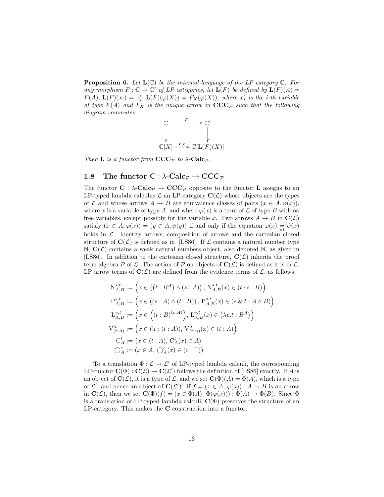**Proposition 6.** Let  $L(\mathbb{C})$  be the internal language of the LP category  $\mathbb{C}$ . For any morphism  $F: \mathbb{C} \to \mathbb{C}'$  of LP categories, let  $\mathbf{L}(F)$  be defined by  $\mathbf{L}(F)(A) =$  $F(A), \mathbf{L}(F)(x_i) = x'_i, \mathbf{L}(F)(\varphi(X)) = F_X(\varphi(X)),$  where  $x'_i$  is the *i*-th variable of type  $F(A)$  and  $F_X$  is the unique arrow in  $\mathbf{CCC}_{\mathcal{P}}$  such that the following diagram commutes:



Then **L** is a functor from  $\mathbf{CCC}_{\mathcal{P}}$  to  $\lambda$ -Calc<sub>p</sub>.

## 1.8 The functor  $C : \lambda$ -Calc<sub>p</sub>  $\rightarrow$  CCC<sub>p</sub>

The functor  $C : \lambda$ -Calc<sub>*P*</sub>  $\rightarrow$  CCC<sub>*P*</sub> opposite to the functor **L** assigns to an LP-typed lambda calculus  $\mathcal L$  an LP-category  $\mathbf C(\mathcal L)$  whose objects are the types of L and whose arrows  $A \to B$  are equivalence classes of pairs  $(x \in A, \varphi(x)),$ where x is a variable of type A, and where  $\varphi(x)$  is a term of L of type B with no free variables, except possibly for the variable x. Two arrows  $A \to B$  in  $\mathbf{C}(\mathcal{L})$ satisfy  $(x \in A, \varphi(x)) = (y \in A, \psi(y))$  if and only if the equation  $\varphi(x) = \psi(x)$ holds in  $\mathcal{L}$ . Identity arrows, composition of arrows and the cartesian closed structure of  $C(\mathcal{L})$  is defined as in [LS86]. If  $\mathcal L$  contains a natural number type  $\mathbb{N}, \mathbf{C}(\mathcal{L})$  contains a weak natural numbers object, also denoted  $\mathbb{N}$ , as given in [LS86]. In addition to the cartesian closed structure,  $\mathbf{C}(\mathcal{L})$  inherits the proof term algebra  $P$  of  $\mathcal L$ . The action of  $P$  on objects of  $\mathbf{C}(\mathcal L)$  is defined as it is in  $\mathcal L$ . LP arrow terms of  $\mathbf{C}(\mathcal{L})$  are defined from the evidence terms of  $\mathcal{L}$ , as follows.

$$
N_{A,B}^{s,t} := \left(x \in ((t : B^A) \land (s : A)), N_{A,B}^{s,t}(x) \in (t \cdot s : B)\right)
$$
  
\n
$$
P_{A,B}^{s,t} := \left(x \in ((s : A) \land (t : B)), P_{A,B}^{s,t}(x) \in (s \& t : A \land B)\right)
$$
  
\n
$$
L_{A,B}^{v,t} := \left(x \in ((t : B)^{(v:A)}), L_{A,B}^{v,t}(x) \in (\overline{\lambda}v.t : B^A)\right)
$$
  
\n
$$
V_{(t:A)}^{lt} := \left(x \in (t : (t : A)), V_{(t:A)}^{lt}(x) \in (t : A)\right)
$$
  
\n
$$
C_A^t := (x \in (t : A), C_A^t(x) \in A)
$$
  
\n
$$
C_A^c := (x \in A, \bigcirc_A^c(x) \in (c : T))
$$

To a translation  $\Phi : \mathcal{L} \to \mathcal{L}'$  of LP-typed lambda calculi, the corresponding LP-functor  $\mathbf{C}(\Phi) : \mathbf{C}(\mathcal{L}) \to \mathbf{C}(\mathcal{L}')$  follows the definition of [LS86] exactly. If A is an object of  $\mathbf{C}(\mathcal{L})$ , it is a type of  $\mathcal{L}$ , and we set  $\mathbf{C}(\Phi)(A) = \Phi(A)$ , which is a type of  $\mathcal{L}'$ , and hence an object of  $\mathbf{C}(\mathcal{L}')$ . If  $f = (x \in A, \varphi(a)) : A \to B$  is an arrow in  $\mathbf{C}(\mathcal{L})$ , then we set  $\mathbf{C}(\Phi)(f) = (x \in \Phi(A), \Phi(\varphi(x))) : \Phi(A) \to \Phi(B)$ . Since  $\Phi$ is a translation of LP-typed lambda calculi,  $\mathbf{C}(\Phi)$  preserves the structure of an LP-category. This makes the C construction into a functor.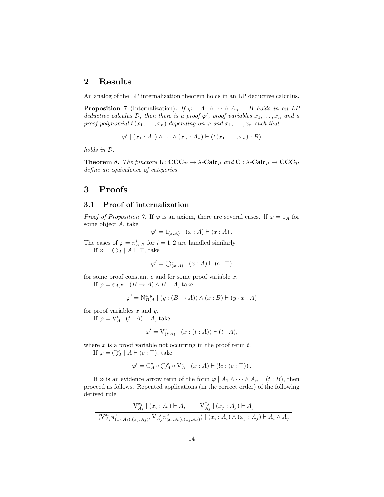# 2 Results

An analog of the LP internalization theorem holds in an LP deductive calculus.

**Proposition 7** (Internalization). If  $\varphi \mid A_1 \wedge \cdots \wedge A_n \vdash B$  holds in an LP deductive calculus  $D$ , then there is a proof  $\varphi'$ , proof variables  $x_1, \ldots, x_n$  and a proof polynomial  $t(x_1, \ldots, x_n)$  depending on  $\varphi$  and  $x_1, \ldots, x_n$  such that

$$
\varphi' \mid (x_1 : A_1) \wedge \cdots \wedge (x_n : A_n) \vdash (t (x_1, \ldots, x_n) : B)
$$

holds in D.

**Theorem 8.** The functors  $\mathbf{L} : \mathbf{CCC}_{\mathcal{P}} \to \lambda$ -Calc<sub>p</sub> and  $\mathbf{C} : \lambda$ -Calc<sub>p</sub>  $\to \mathbf{CCC}_{\mathcal{P}}$ define an equivalence of categories.

# 3 Proofs

## 3.1 Proof of internalization

*Proof of Proposition 7.* If  $\varphi$  is an axiom, there are several cases. If  $\varphi = 1_A$  for some object A, take

$$
\varphi' = 1_{(x:A)} | (x:A) \vdash (x:A).
$$

The cases of  $\varphi = \pi_{A,B}^i$  for  $i = 1, 2$  are handled similarly. If  $\varphi = \bigcirc_A \mid A \vdash \top$ , take

$$
\varphi' = \bigcirc_{(x:A)}^c \mid (x:A) \vdash (c:\top)
$$

for some proof constant  $c$  and for some proof variable  $x$ .

If  $\varphi = \varepsilon_{A,B} \mid (B \to A) \wedge B \vdash A$ , take

$$
\varphi' = \mathcal{N}_{B,A}^{x,y} \mid (y:(B \to A)) \land (x:B) \vdash (y \cdot x : A)
$$

for proof variables  $x$  and  $y$ .

If  $\varphi = V_A^t \mid (t : A) \vdash A$ , take

$$
\varphi' = \mathcal{V}_{(t:A)}^x \mid (x : (t : A)) \vdash (t : A),
$$

where  $x$  is a proof variable not occurring in the proof term  $t$ .

If  $\varphi = \bigcirc_A^c \mid A \vdash (c : \top)$ , take

$$
\varphi' = \mathrm{C}^c_A \circ \mathrm{O}^c_A \circ \mathrm{V}^x_A \mid (x : A) \vdash (!c : (c : \top)).
$$

If  $\varphi$  is an evidence arrow term of the form  $\varphi \mid A_1 \wedge \cdots \wedge A_n \vdash (t : B)$ , then proceed as follows. Repeated applications (in the correct order) of the following derived rule

$$
\frac{\mathbf{V}_{A_i}^{x_i} \mid (x_i : A_i) \vdash A_i \qquad \mathbf{V}_{A_j}^{x_j} \mid (x_j : A_j) \vdash A_j}{\langle \mathbf{V}_{A_i}^{x_i} \pi_{(x_i : A_i), (x_j : A_j)}^1, \mathbf{V}_{A_j}^{x_j} \pi_{(x_i : A_i), (x_j : A_j)}^2 \rangle \mid (x_i : A_i) \land (x_j : A_j) \vdash A_i \land A_j}
$$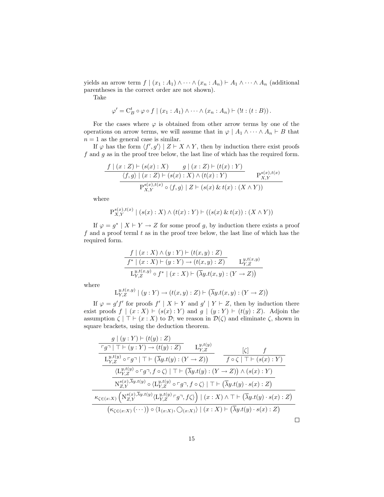yields an arrow term  $f | (x_1 : A_1) \wedge \cdots \wedge (x_n : A_n) \vdash A_1 \wedge \cdots \wedge A_n$  (additional parentheses in the correct order are not shown).

Take

$$
\varphi' = C_B^t \circ \varphi \circ f \mid (x_1 : A_1) \wedge \cdots \wedge (x_n : A_n) \vdash (!t : (t : B)).
$$

For the cases where  $\varphi$  is obtained from other arrow terms by one of the operations on arrow terms, we will assume that in  $\varphi \mid A_1 \wedge \cdots \wedge A_n \vdash B$  that  $n = 1$  as the general case is similar.

If  $\varphi$  has the form  $\langle f', g' \rangle \mid Z \vdash X \wedge Y$ , then by induction there exist proofs  $f$  and  $g$  as in the proof tree below, the last line of which has the required form.

$$
\frac{f \mid (x:Z) \vdash (s(x):X) \qquad g \mid (x:Z) \vdash (t(x):Y)}{\langle f,g \rangle \mid (x:Z) \vdash (s(x):X) \land (t(x):Y) \qquad P_{X,Y}^{s(x),t(x)}
$$

$$
P_{X,Y}^{s(x),t(x)} \circ \langle f,g \rangle \mid Z \vdash (s(x) \& t(x): (X \land Y))
$$

where

$$
\mathbf{P}_{X,Y}^{s(x),t(x)} \mid (s(x): X) \wedge (t(x): Y) \vdash ((s(x) \& t(x)): (X \wedge Y))
$$

If  $\varphi = g^* | X \vdash Y \to Z$  for some proof g, by induction there exists a proof f and a proof terml  $t$  as in the proof tree below, the last line of which has the required form.

$$
\frac{f \mid (x:X) \land (y:Y) \vdash (t(x,y):Z)}{f^* \mid (x:X) \vdash (y:Y) \rightarrow (t(x,y):Z)} \quad L_{Y,Z}^{y,t(x,y)}\nL_{Y,Z}^{y,t(x,y)} \circ f^* \mid (x:X) \vdash (\overline{\lambda}y.t(x,y):(Y \rightarrow Z))
$$

where

$$
\mathcal{L}_{Y,Z}^{y,t(x,y)} \mid (y:Y) \rightarrow (t(x,y):Z) \vdash \left(\overline{\lambda} y.t(x,y): (Y \rightarrow Z)\right)
$$

If  $\varphi = g' f'$  for proofs  $f' | X \vdash Y$  and  $g' | Y \vdash Z$ , then by induction there exist proofs  $f \mid (x : X) \vdash (s(x) : Y)$  and  $g \mid (y : Y) \vdash (t(y) : Z)$ . Adjoin the assumption  $\zeta | \top \vdash (x : X)$  to  $\mathcal{D}$ ; we reason in  $\mathcal{D}(\zeta)$  and eliminate  $\zeta$ , shown in square brackets, using the deduction theorem.

$$
\frac{g|(y:Y) \vdash (t(y):Z)}{\frac{\Gamma g \vdash (\top \vdash (y:Y) \rightarrow (t(y):Z)}{\bot_{Y,Z}^{y,t(y)} \circ \Gamma g \vdash (\top \vdash (\overline{\lambda}y.t(y):(Y \rightarrow Z))} \qquad \frac{[\zeta]}{f \circ \zeta | \top \vdash (s(x):Y)}{\frac{\langle L_{Y,Z}^{y,t(y)} \circ \Gamma g \vdash (\overline{\lambda}y.t(y):(Y \rightarrow Z)) \land (s(x):Y)}{\Gamma_{Z,Y}^{s(x),\overline{\lambda}y.t(y)} \circ \langle L_{Y,Z}^{y,t(y)} \circ \Gamma g \vdash (\overline{\lambda}y.t(y):(Y \rightarrow Z)) \land (s(x):Z)}}
$$
\n
$$
\frac{\kappa_{\zeta \in (x:X)} \left( \frac{\Gamma g(x),\overline{\lambda}y.t(y)}{\Gamma_{Z,Y}^{s(x),\overline{\lambda}y.t(y)} \langle L_{Y,Z}^{y,t(y)} \vdash g \urcorner, f \zeta \rangle \right) | (x:X) \land \top \vdash (\overline{\lambda}y.t(y):s(x):Z)}{\Gamma_{Z,Y}^{s(x),\overline{\lambda}y.t(y)} \langle L_{Y,Z}^{y,t(y)} \vdash g \urcorner, f \zeta \rangle \right) | (x:X) \land \top \vdash (\overline{\lambda}y.t(y):s(x):Z)}
$$
\n
$$
\frac{\Gamma g \vdash (\overline{\lambda}y.t(y):s(y):s(y):z)}{\Gamma_{Z}^{s(x),\overline{\lambda}y.t(y)} \circ \langle L_{Y,Z}^{y,t(y)} \vdash (x:X) \land \top \vdash (\overline{\lambda}y.t(y):s(x):Z)} \square
$$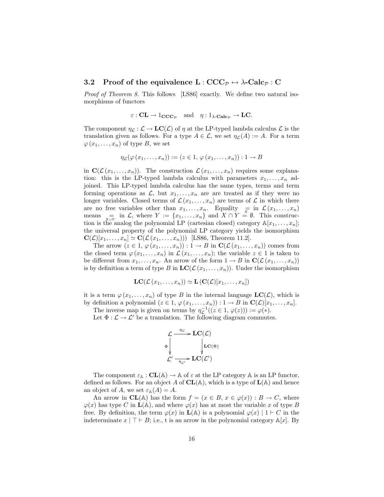### 3.2 Proof of the equivalence  $L:CCC_{\mathcal{P}} \leftrightarrow \lambda\text{-}\mathrm{Calc}_{\mathcal{P}}: C$

Proof of Theorem 8. This follows [LS86] exactly. We define two natural isomorphisms of functors

$$
\varepsilon : \mathbf{CL} \to 1_{\mathbf{CCC}_{\mathcal{P}}} \text{ and } \eta : 1_{\lambda \text{-}\mathbf{Calc}_{\mathcal{P}}} \to \mathbf{LC}.
$$

The component  $\eta_{\mathcal{L}} : \mathcal{L} \to \mathbf{LC}(\mathcal{L})$  of  $\eta$  at the LP-typed lambda calculus  $\mathcal{L}$  is the translation given as follows. For a type  $A \in \mathcal{L}$ , we set  $\eta_{\mathcal{L}}(A) := A$ . For a term  $\varphi(x_1,\ldots,x_n)$  of type B, we set

$$
\eta_{\mathcal{L}}(\varphi(x_1,\ldots,x_n)) := (z \in 1, \varphi(x_1,\ldots,x_n)) : 1 \to B
$$

in  $\mathbf{C}(\mathcal{L}(x_1,\ldots,x_n))$ . The construction  $\mathcal{L}(x_1,\ldots,x_n)$  requires some explanation: this is the LP-typed lambda calculus with parameters  $x_1, \ldots, x_n$  adjoined. This LP-typed lambda calculus has the same types, terms and term forming operations as  $\mathcal{L}$ , but  $x_1, \ldots, x_n$  are are treated as if they were no longer variables. Closed terms of  $\mathcal{L}(x_1, \ldots, x_n)$  are terms of  $\mathcal L$  in which there are no free variables other than  $x_1, \ldots, x_n$ . Equality  $\equiv \inf_{x \in \mathbb{R}} \mathcal{L}(x_1, \ldots, x_n)$ means  $\underset{X\cup Y}{=}$  in  $\mathcal{L}$ , where  $Y := \{x_1, \ldots, x_n\}$  and  $X \cap Y = \emptyset$ . This construction is the analog the polynomial LP (cartesian closed) category  $\mathbb{A}[x_1, \ldots, x_n]$ ; the universal property of the polynomial LP category yields the isomorphism  $\mathbf{C}(\mathcal{L})[x_1,\ldots,x_n] \simeq \mathbf{C}(\mathcal{L}(x_1,\ldots,x_n))$  [LS86, Theorem 11.2].

The arrow  $(z \in 1, \varphi(x_1, \ldots, x_n)) : 1 \to B$  in  $\mathbb{C}(\mathcal{L}(x_1, \ldots, x_n))$  comes from the closed term  $\varphi(x_1,\ldots,x_n)$  in  $\mathcal{L}(x_1,\ldots,x_n)$ ; the variable  $z \in 1$  is taken to be different from  $x_1, \ldots, x_n$ . An arrow of the form  $1 \to B$  in  $\mathbf{C}(\mathcal{L}(x_1, \ldots, x_n))$ is by definition a term of type B in  $LC(\mathcal{L}(x_1, \ldots, x_n))$ . Under the isomorphism

$$
\mathbf{LC}(\mathcal{L}(x_1,\ldots,x_n)) \simeq \mathbf{L}(\mathbf{C}(\mathcal{L})[x_1,\ldots,x_n])
$$

it is a term  $\varphi(x_1,\ldots,x_n)$  of type B in the internal language  $LC(\mathcal{L})$ , which is by definition a polynomial  $(z \in 1, \varphi(x_1, \ldots, x_n)) : 1 \to B$  in  $\mathbf{C}(\mathcal{L})[x_1, \ldots, x_n]$ .

The inverse map is given on terms by  $\eta_{\mathcal{L}}^{-1}((z \in 1, \varphi(z))) := \varphi(*)$ .

Let  $\Phi : \mathcal{L} \to \mathcal{L}'$  be a translation. The following diagram commutes.



The component  $\varepsilon_{\mathbb{A}} : \mathbf{CL}(\mathbb{A}) \to \mathbb{A}$  of  $\varepsilon$  at the LP category  $\mathbb{A}$  is an LP functor, defined as follows. For an object A of  $CL(A)$ , which is a type of  $L(A)$  and hence an object of A, we set  $\varepsilon_{\mathbb{A}}(A) = A$ .

An arrow in  $CL(A)$  has the form  $f = (x \in B, x \in \varphi(x)) : B \to C$ , where  $\varphi(x)$  has type C in  $\mathbf{L}(\mathbb{A})$ , and where  $\varphi(x)$  has at most the variable x of type B free. By definition, the term  $\varphi(x)$  in  $\mathbf{L}(\mathbb{A})$  is a polynomial  $\varphi(x) \mid 1 \vdash C$  in the indeterminate  $x \mid \top \vdash B$ ; i.e., t is an arrow in the polynomial category A[x]. By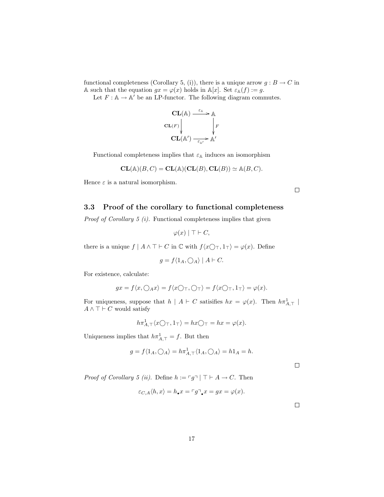functional completeness (Corollary 5, (i)), there is a unique arrow  $g : B \to C$  in A such that the equation  $gx = \varphi(x)$  holds in  $\mathbb{A}[x]$ . Set  $\varepsilon_{\mathbb{A}}(f) := g$ .

Let  $F : \mathbb{A} \to \mathbb{A}$  be an LP-functor. The following diagram commutes.



Functional completeness implies that  $\varepsilon_{\mathbb{A}}$  induces an isomorphism

$$
CL(\mathbb{A})(B, C) = CL(\mathbb{A})(CL(B), CL(B)) \simeq \mathbb{A}(B, C).
$$

Hence  $\varepsilon$  is a natural isomorphism.

 $\Box$ 

## 3.3 Proof of the corollary to functional completeness

Proof of Corollary 5 (i). Functional completeness implies that given

$$
\varphi(x) \mid \top \vdash C,
$$

there is a unique  $f | A \wedge \top \vdash C$  in  $\mathbb C$  with  $f\langle x \bigcirc \top, 1_\top \rangle = \varphi(x)$ . Define

$$
g = f \langle 1_A, \bigcirc_A \rangle \mid A \vdash C.
$$

For existence, calculate:

$$
gx = f\langle x, \bigcirc_A x \rangle = f\langle x \bigcirc \tau, \bigcirc \tau \rangle = f\langle x \bigcirc \tau, 1\tau \rangle = \varphi(x).
$$

For uniqueness, suppose that  $h \mid A \vdash C$  satisifies  $hx = \varphi(x)$ . Then  $h\pi^1_{A,\top}$  $A \wedge \top \vdash C$  would satisfy

$$
h\pi^1_{A,\top}\langle x\bigcirc_{\top},1_\top\rangle = hx\bigcirc_{\top} = hx = \varphi(x).
$$

Uniqueness implies that  $h\pi^1_{A,\top} = f$ . But then

$$
g = f \langle 1_A, \bigcirc_{A} \rangle = h \pi_{A, \top}^1 \langle 1_A, \bigcirc_{A} \rangle = h 1_A = h.
$$

 $\Box$ 

*Proof of Corollary 5 (ii).* Define  $h := \lceil g \rceil \rceil + A \to C$ . Then

$$
\varepsilon_{C,A}\langle h,x\rangle = h_\bullet x = \ulcorner g\urcorner_\bullet x = gx = \varphi(x).
$$

 $\Box$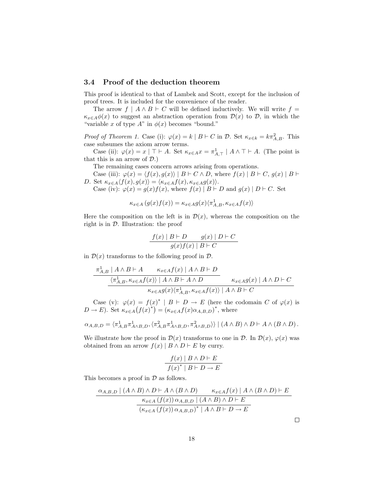## 3.4 Proof of the deduction theorem

This proof is identical to that of Lambek and Scott, except for the inclusion of proof trees. It is included for the convenience of the reader.

The arrow  $f \mid A \land B \vdash C$  will be defined inductively. We will write  $f =$  $\kappa_{x\in A}\phi(x)$  to suggest an abstraction operation from  $\mathcal{D}(x)$  to  $\mathcal{D}$ , in which the "variable x of type  $A$ " in  $\phi(x)$  becomes "bound."

*Proof of Theorem 1.* Case (i):  $\varphi(x) = k | B \vdash C$  in  $D$ . Set  $\kappa_{x \in k} = k \pi_{A,B}^2$ . This case subsumes the axiom arrow terms.

Case (ii):  $\varphi(x) = x \mid \top \vdash A$ . Set  $\kappa_{x \in A} x = \pi^1_{A,\top} \mid A \wedge \top \vdash A$ . (The point is that this is an arrow of  $\mathcal{D}$ .)

The remaining cases concern arrows arising from operations.

Case (iii):  $\varphi(x) = \langle f(x), g(x) \rangle | B \vdash C \land D$ , where  $f(x) | B \vdash C$ ,  $g(x) | B \vdash$ D. Set  $\kappa_{x\in A}\langle f(x), g(x)\rangle = \langle \kappa_{x\in A}f(x), \kappa_{x\in A}g(x)\rangle.$ 

Case (iv):  $\varphi(x) = g(x)f(x)$ , where  $f(x) | B \vdash D$  and  $g(x) | D \vdash C$ . Set

$$
\kappa_{x\in A}\left(g(x)f(x)\right)=\kappa_{x\in A}g(x)\langle\pi_{A,B}^{1},\kappa_{x\in A}f(x)\rangle
$$

Here the composition on the left is in  $\mathcal{D}(x)$ , whereas the composition on the right is in  $D$ . Illustration: the proof

$$
\frac{f(x) | B \vdash D \qquad g(x) | D \vdash C}{g(x)f(x) | B \vdash C}
$$

in  $\mathcal{D}(x)$  transforms to the following proof in  $\mathcal{D}$ .

$$
\frac{\pi_{A,B}^1 \mid A \wedge B \vdash A \qquad \kappa_{x \in A} f(x) \mid A \wedge B \vdash D}{\langle \pi_{A,B}^1, \kappa_{x \in A} f(x) \rangle \mid A \wedge B \vdash A \wedge D} \qquad \kappa_{x \in A} g(x) \mid A \wedge D \vdash C
$$
  

$$
\kappa_{x \in A} g(x) \langle \pi_{A,B}^1, \kappa_{x \in A} f(x) \rangle \mid A \wedge B \vdash C
$$

Case (v):  $\varphi(x) = f(x)^* | B \vdash D \rightarrow E$  (here the codomain C of  $\varphi(x)$  is  $D \to E$ ). Set  $\kappa_{x \in A}(f(x)^{*}) = (\kappa_{x \in A}f(x)\alpha_{A,B,D})^{*}$ , where

$$
\alpha_{A,B,D} = \langle \pi_{A,B}^1 \pi_{A \wedge B,D}^1, \langle \pi_{A,B}^2 \pi_{A \wedge B,D}^1, \pi_{A \wedge B,D}^2 \rangle \rangle \mid (A \wedge B) \wedge D \vdash A \wedge (B \wedge D).
$$

We illustrate how the proof in  $\mathcal{D}(x)$  transforms to one in  $\mathcal{D}$ . In  $\mathcal{D}(x)$ ,  $\varphi(x)$  was obtained from an arrow  $f(x) | B \wedge D \vdash E$  by curry.

$$
\frac{f(x) | B \land D \vdash E}{f(x)^* | B \vdash D \to E}
$$

This becomes a proof in  $\mathcal D$  as follows.

$$
\frac{\alpha_{A,B,D} \mid (A \land B) \land D \vdash A \land (B \land D) \qquad \kappa_{x \in A} f(x) \mid A \land (B \land D) \vdash E}{\kappa_{x \in A} \left( f(x) \right) \alpha_{A,B,D} \mid (A \land B) \land D \vdash E}{\left( \kappa_{x \in A} \left( f(x) \right) \alpha_{A,B,D} \right)^* \mid A \land B \vdash D \to E}
$$

 $\Box$